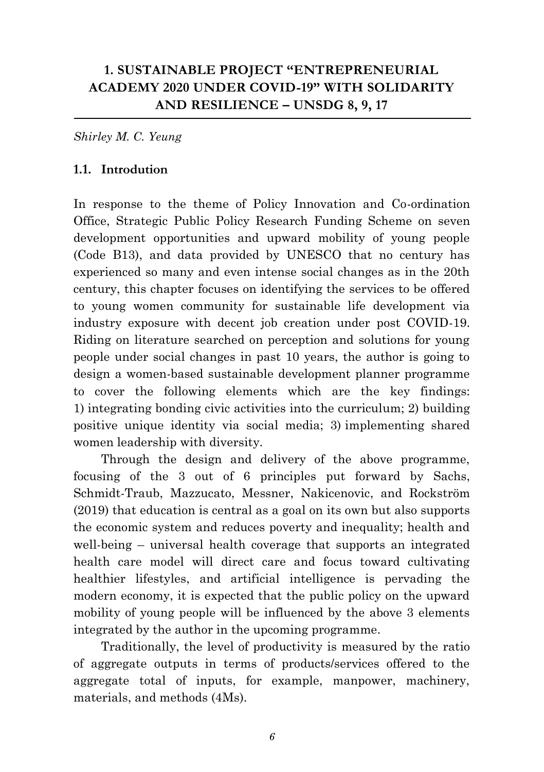## **1. SUSTAINABLE PROJECT "ENTREPRENEURIAL ACADEMY 2020 UNDER COVID-19" WITH SOLIDARITY AND RESILIENCE – UNSDG 8, 9, 17**

*Shirley M. C. Yeung*

#### **1.1. Introdution**

In response to the theme of Policy Innovation and Co-ordination Office, Strategic Public Policy Research Funding Scheme on seven development opportunities and upward mobility of young people (Code B13), and data provided by UNESCO that no century has experienced so many and even intense social changes as in the 20th century, this chapter focuses on identifying the services to be offered to young women community for sustainable life development via industry exposure with decent job creation under post COVID-19. Riding on literature searched on perception and solutions for young people under social changes in past 10 years, the author is going to design a women-based sustainable development planner programme to cover the following elements which are the key findings: 1) integrating bonding civic activities into the curriculum; 2) building positive unique identity via social media; 3) implementing shared women leadership with diversity.

Through the design and delivery of the above programme, focusing of the 3 out of 6 principles put forward by Sachs, Schmidt-Traub, Mazzucato, Messner, Nakicenovic, and Rockström (2019) that education is central as a goal on its own but also supports the economic system and reduces poverty and inequality; health and well-being – universal health coverage that supports an integrated health care model will direct care and focus toward cultivating healthier lifestyles, and artificial intelligence is pervading the modern economy, it is expected that the public policy on the upward mobility of young people will be influenced by the above 3 elements integrated by the author in the upcoming programme.

Traditionally, the level of productivity is measured by the ratio of aggregate outputs in terms of products/services offered to the aggregate total of inputs, for example, manpower, machinery, materials, and methods (4Ms).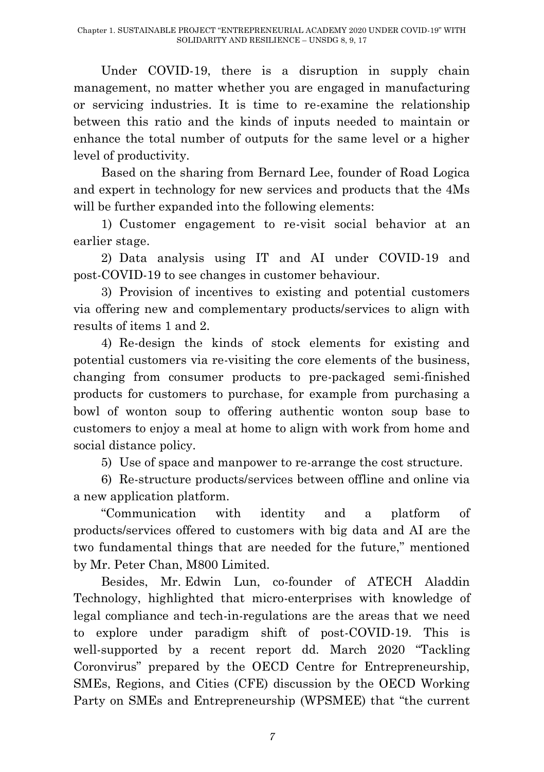Under COVID-19, there is a disruption in supply chain management, no matter whether you are engaged in manufacturing or servicing industries. It is time to re-examine the relationship between this ratio and the kinds of inputs needed to maintain or enhance the total number of outputs for the same level or a higher level of productivity.

Based on the sharing from Bernard Lee, founder of Road Logica and expert in technology for new services and products that the 4Ms will be further expanded into the following elements:

1) Customer engagement to re-visit social behavior at an earlier stage.

2) Data analysis using IT and AI under COVID-19 and post-COVID-19 to see changes in customer behaviour.

3) Provision of incentives to existing and potential customers via offering new and complementary products/services to align with results of items 1 and 2.

4) Re-design the kinds of stock elements for existing and potential customers via re-visiting the core elements of the business, changing from consumer products to pre-packaged semi-finished products for customers to purchase, for example from purchasing a bowl of wonton soup to offering authentic wonton soup base to customers to enjoy a meal at home to align with work from home and social distance policy.

5) Use of space and manpower to re-arrange the cost structure.

6) Re-structure products/services between offline and online via a new application platform.

"Communication with identity and a platform of products/services offered to customers with big data and AI are the two fundamental things that are needed for the future," mentioned by Mr. Peter Chan, M800 Limited.

Besides, Mr. Edwin Lun, co-founder of ATECH Aladdin Technology, highlighted that micro-enterprises with knowledge of legal compliance and tech-in-regulations are the areas that we need to explore under paradigm shift of post-COVID-19. This is well-supported by a recent report dd. March 2020 "Tackling Coronvirus" prepared by the OECD Centre for Entrepreneurship, SMEs, Regions, and Cities (CFE) discussion by the OECD Working Party on SMEs and Entrepreneurship (WPSMEE) that "the current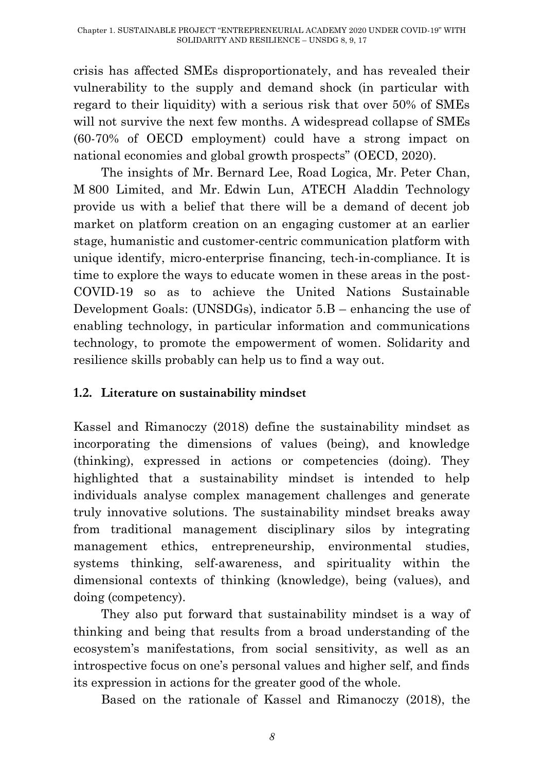crisis has affected SMEs disproportionately, and has revealed their vulnerability to the supply and demand shock (in particular with regard to their liquidity) with a serious risk that over 50% of SMEs will not survive the next few months. A widespread collapse of SMEs (60-70% of OECD employment) could have a strong impact on national economies and global growth prospects" (OECD, 2020).

The insights of Mr. Bernard Lee, Road Logica, Mr. Peter Chan, M 800 Limited, and Mr. Edwin Lun, ATECH Aladdin Technology provide us with a belief that there will be a demand of decent job market on platform creation on an engaging customer at an earlier stage, humanistic and customer-centric communication platform with unique identify, micro-enterprise financing, tech-in-compliance. It is time to explore the ways to educate women in these areas in the post-COVID-19 so as to achieve the United Nations Sustainable Development Goals: (UNSDGs), indicator 5.B – enhancing the use of enabling technology, in particular information and communications technology, to promote the empowerment of women. Solidarity and resilience skills probably can help us to find a way out.

### **1.2. Literature on sustainability mindset**

Kassel and Rimanoczy (2018) define the sustainability mindset as incorporating the dimensions of values (being), and knowledge (thinking), expressed in actions or competencies (doing). They highlighted that a sustainability mindset is intended to help individuals analyse complex management challenges and generate truly innovative solutions. The sustainability mindset breaks away from traditional management disciplinary silos by integrating management ethics, entrepreneurship, environmental studies, systems thinking, self-awareness, and spirituality within the dimensional contexts of thinking (knowledge), being (values), and doing (competency).

They also put forward that sustainability mindset is a way of thinking and being that results from a broad understanding of the ecosystem"s manifestations, from social sensitivity, as well as an introspective focus on one"s personal values and higher self, and finds its expression in actions for the greater good of the whole.

Based on the rationale of Kassel and Rimanoczy (2018), the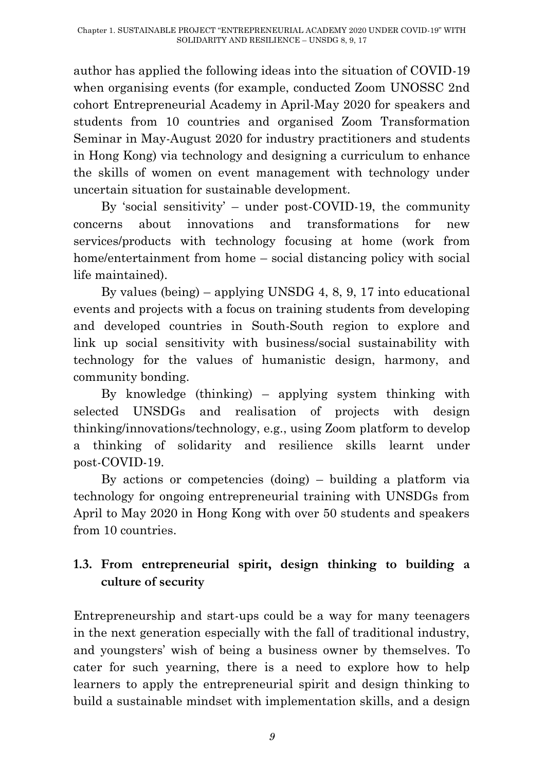author has applied the following ideas into the situation of COVID-19 when organising events (for example, conducted Zoom UNOSSC 2nd cohort Entrepreneurial Academy in April-May 2020 for speakers and students from 10 countries and organised Zoom Transformation Seminar in May-August 2020 for industry practitioners and students in Hong Kong) via technology and designing a curriculum to enhance the skills of women on event management with technology under uncertain situation for sustainable development.

By 'social sensitivity' – under post-COVID-19, the community concerns about innovations and transformations for new services/products with technology focusing at home (work from home/entertainment from home – social distancing policy with social life maintained).

By values (being) – applying UNSDG 4, 8, 9, 17 into educational events and projects with a focus on training students from developing and developed countries in South-South region to explore and link up social sensitivity with business/social sustainability with technology for the values of humanistic design, harmony, and community bonding.

By knowledge (thinking) – applying system thinking with selected UNSDGs and realisation of projects with design thinking/innovations/technology, e.g., using Zoom platform to develop a thinking of solidarity and resilience skills learnt under post-COVID-19.

By actions or competencies (doing) – building a platform via technology for ongoing entrepreneurial training with UNSDGs from April to May 2020 in Hong Kong with over 50 students and speakers from 10 countries.

# **1.3. From entrepreneurial spirit, design thinking to building a culture of security**

Entrepreneurship and start-ups could be a way for many teenagers in the next generation especially with the fall of traditional industry, and youngsters" wish of being a business owner by themselves. To cater for such yearning, there is a need to explore how to help learners to apply the entrepreneurial spirit and design thinking to build a sustainable mindset with implementation skills, and a design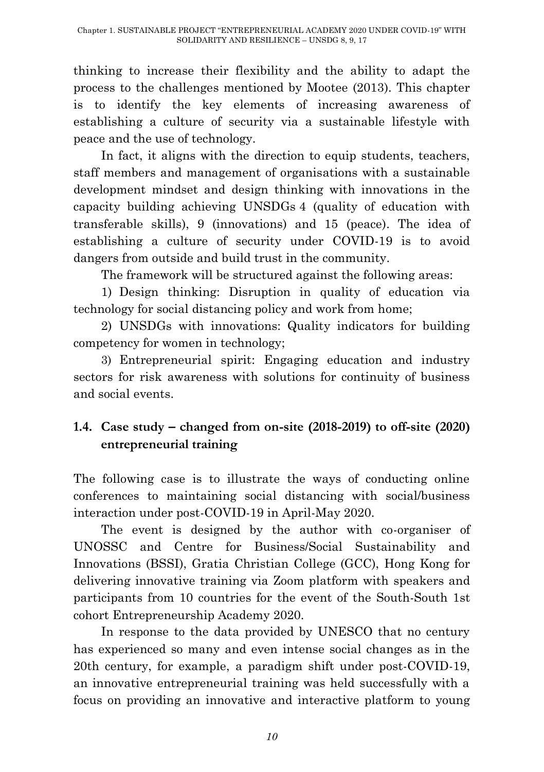thinking to increase their flexibility and the ability to adapt the process to the challenges mentioned by Mootee (2013). This chapter is to identify the key elements of increasing awareness of establishing a culture of security via a sustainable lifestyle with peace and the use of technology.

In fact, it aligns with the direction to equip students, teachers, staff members and management of organisations with a sustainable development mindset and design thinking with innovations in the capacity building achieving UNSDGs 4 (quality of education with transferable skills), 9 (innovations) and 15 (peace). The idea of establishing a culture of security under COVID-19 is to avoid dangers from outside and build trust in the community.

The framework will be structured against the following areas:

1) Design thinking: Disruption in quality of education via technology for social distancing policy and work from home;

2) UNSDGs with innovations: Quality indicators for building competency for women in technology;

3) Entrepreneurial spirit: Engaging education and industry sectors for risk awareness with solutions for continuity of business and social events.

# **1.4. Case study – changed from on-site (2018-2019) to off-site (2020) entrepreneurial training**

The following case is to illustrate the ways of conducting online conferences to maintaining social distancing with social/business interaction under post-COVID-19 in April-May 2020.

The event is designed by the author with co-organiser of UNOSSC and Centre for Business/Social Sustainability and Innovations (BSSI), Gratia Christian College (GCC), Hong Kong for delivering innovative training via Zoom platform with speakers and participants from 10 countries for the event of the South-South 1st cohort Entrepreneurship Academy 2020.

In response to the data provided by UNESCO that no century has experienced so many and even intense social changes as in the 20th century, for example, a paradigm shift under post-COVID-19, an innovative entrepreneurial training was held successfully with a focus on providing an innovative and interactive platform to young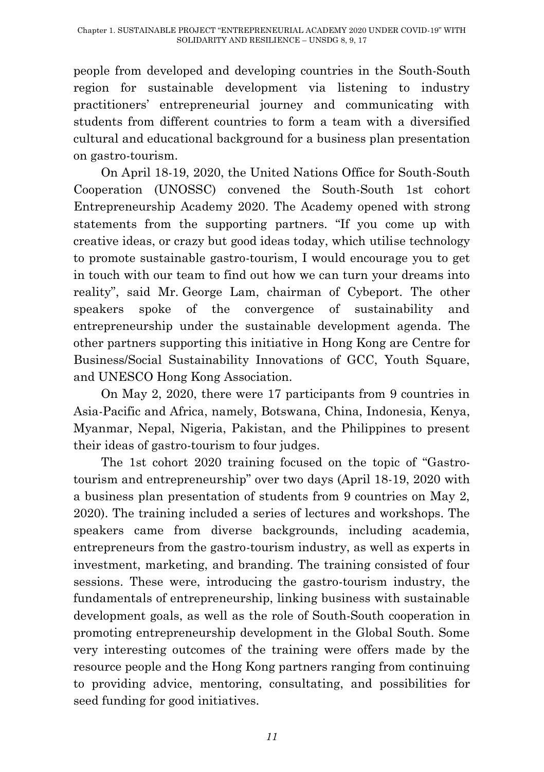people from developed and developing countries in the South-South region for sustainable development via listening to industry practitioners" entrepreneurial journey and communicating with students from different countries to form a team with a diversified cultural and educational background for a business plan presentation on gastro-tourism.

On April 18-19, 2020, the United Nations Office for South-South Cooperation (UNOSSC) convened the South-South 1st cohort Entrepreneurship Academy 2020. The Academy opened with strong statements from the supporting partners. "If you come up with creative ideas, or crazy but good ideas today, which utilise technology to promote sustainable gastro-tourism, I would encourage you to get in touch with our team to find out how we can turn your dreams into reality", said Mr. George Lam, chairman of Cybeport. The other speakers spoke of the convergence of sustainability and entrepreneurship under the sustainable development agenda. The other partners supporting this initiative in Hong Kong are Centre for Business/Social Sustainability Innovations of GCC, Youth Square, and UNESCO Hong Kong Association.

On May 2, 2020, there were 17 participants from 9 countries in Asia-Pacific and Africa, namely, Botswana, China, Indonesia, Kenya, Myanmar, Nepal, Nigeria, Pakistan, and the Philippines to present their ideas of gastro-tourism to four judges.

The 1st cohort 2020 training focused on the topic of "Gastrotourism and entrepreneurship" over two days (April 18-19, 2020 with a business plan presentation of students from 9 countries on May 2, 2020). The training included a series of lectures and workshops. The speakers came from diverse backgrounds, including academia, entrepreneurs from the gastro-tourism industry, as well as experts in investment, marketing, and branding. The training consisted of four sessions. These were, introducing the gastro-tourism industry, the fundamentals of entrepreneurship, linking business with sustainable development goals, as well as the role of South-South cooperation in promoting entrepreneurship development in the Global South. Some very interesting outcomes of the training were offers made by the resource people and the Hong Kong partners ranging from continuing to providing advice, mentoring, consultating, and possibilities for seed funding for good initiatives.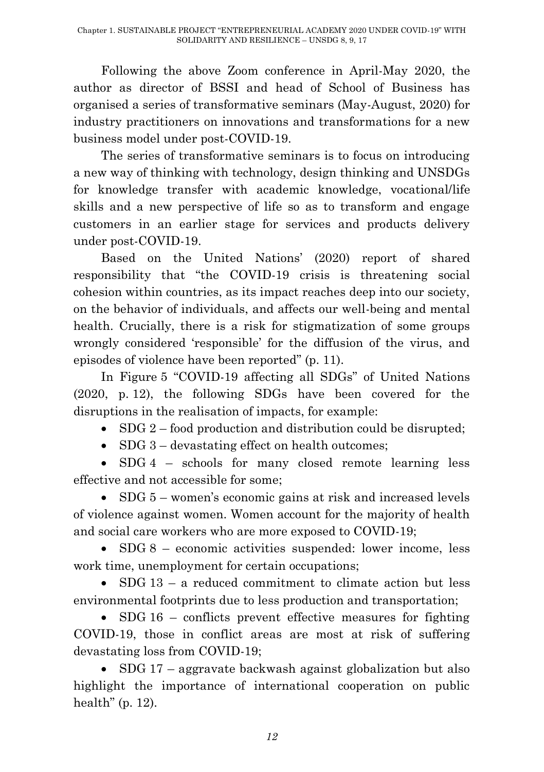Following the above Zoom conference in April-May 2020, the author as director of BSSI and head of School of Business has organised a series of transformative seminars (May-August, 2020) for industry practitioners on innovations and transformations for a new business model under post-COVID-19.

The series of transformative seminars is to focus on introducing a new way of thinking with technology, design thinking and UNSDGs for knowledge transfer with academic knowledge, vocational/life skills and a new perspective of life so as to transform and engage customers in an earlier stage for services and products delivery under post-COVID-19.

Based on the United Nations" (2020) report of shared responsibility that "the COVID-19 crisis is threatening social cohesion within countries, as its impact reaches deep into our society, on the behavior of individuals, and affects our well-being and mental health. Crucially, there is a risk for stigmatization of some groups wrongly considered "responsible" for the diffusion of the virus, and episodes of violence have been reported" (p. 11).

In Figure 5 "COVID-19 affecting all SDGs" of United Nations (2020, p. 12), the following SDGs have been covered for the disruptions in the realisation of impacts, for example:

 $\bullet$  SDG 2 – food production and distribution could be disrupted;

• SDG 3 – devastating effect on health outcomes;

• SDG 4 – schools for many closed remote learning less effective and not accessible for some;

• SDG 5 – women's economic gains at risk and increased levels of violence against women. Women account for the majority of health and social care workers who are more exposed to COVID-19;

• SDG 8 – economic activities suspended: lower income, less work time, unemployment for certain occupations:

 $\bullet$  SDG 13 – a reduced commitment to climate action but less environmental footprints due to less production and transportation;

 SDG 16 – conflicts prevent effective measures for fighting COVID-19, those in conflict areas are most at risk of suffering devastating loss from COVID-19;

• SDG 17 – aggravate backwash against globalization but also highlight the importance of international cooperation on public health" (p. 12).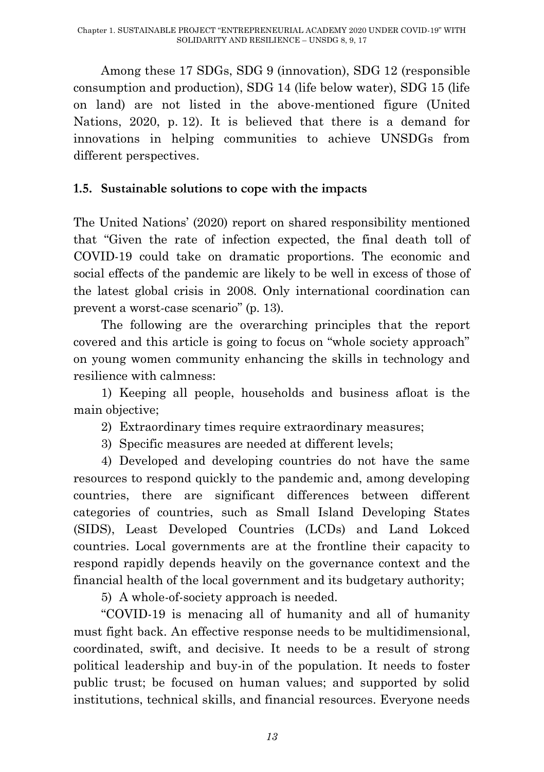Among these 17 SDGs, SDG 9 (innovation), SDG 12 (responsible consumption and production), SDG 14 (life below water), SDG 15 (life on land) are not listed in the above-mentioned figure (United Nations, 2020, p. 12). It is believed that there is a demand for innovations in helping communities to achieve UNSDGs from different perspectives.

### **1.5. Sustainable solutions to cope with the impacts**

The United Nations" (2020) report on shared responsibility mentioned that "Given the rate of infection expected, the final death toll of COVID-19 could take on dramatic proportions. The economic and social effects of the pandemic are likely to be well in excess of those of the latest global crisis in 2008. Only international coordination can prevent a worst-case scenario" (p. 13).

The following are the overarching principles that the report covered and this article is going to focus on "whole society approach" on young women community enhancing the skills in technology and resilience with calmness:

1) Keeping all people, households and business afloat is the main objective;

2) Extraordinary times require extraordinary measures;

3) Specific measures are needed at different levels;

4) Developed and developing countries do not have the same resources to respond quickly to the pandemic and, among developing countries, there are significant differences between different categories of countries, such as Small Island Developing States (SIDS), Least Developed Countries (LCDs) and Land Lokced countries. Local governments are at the frontline their capacity to respond rapidly depends heavily on the governance context and the financial health of the local government and its budgetary authority;

5) A whole-of-society approach is needed.

"COVID-19 is menacing all of humanity and all of humanity must fight back. An effective response needs to be multidimensional, coordinated, swift, and decisive. It needs to be a result of strong political leadership and buy-in of the population. It needs to foster public trust; be focused on human values; and supported by solid institutions, technical skills, and financial resources. Everyone needs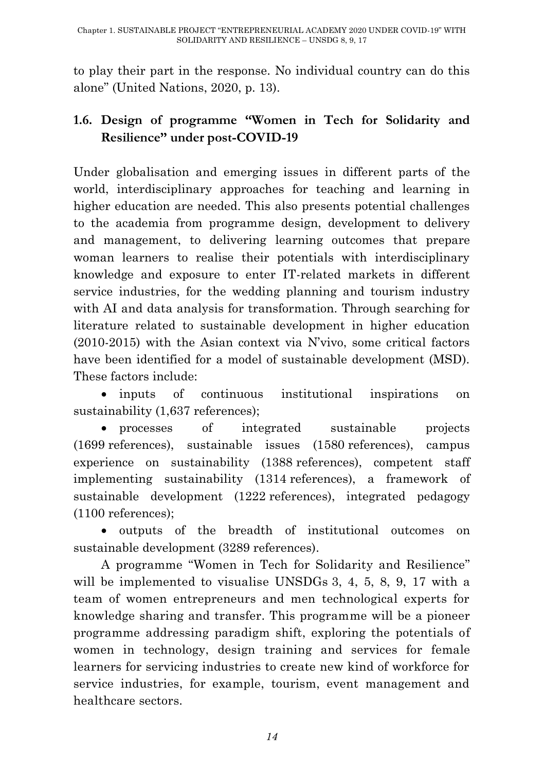to play their part in the response. No individual country can do this alone" (United Nations, 2020, p. 13).

## **1.6. Design of programme "Women in Tech for Solidarity and Resilience" under post-COVID-19**

Under globalisation and emerging issues in different parts of the world, interdisciplinary approaches for teaching and learning in higher education are needed. This also presents potential challenges to the academia from programme design, development to delivery and management, to delivering learning outcomes that prepare woman learners to realise their potentials with interdisciplinary knowledge and exposure to enter IT-related markets in different service industries, for the wedding planning and tourism industry with AI and data analysis for transformation. Through searching for literature related to sustainable development in higher education (2010-2015) with the Asian context via N"vivo, some critical factors have been identified for a model of sustainable development (MSD). These factors include:

 inputs of continuous institutional inspirations on sustainability (1,637 references);

 processes of integrated sustainable projects (1699 references), sustainable issues (1580 references), campus experience on sustainability (1388 references), competent staff implementing sustainability (1314 references), a framework of sustainable development (1222 references), integrated pedagogy (1100 references);

 outputs of the breadth of institutional outcomes on sustainable development (3289 references).

A programme "Women in Tech for Solidarity and Resilience" will be implemented to visualise UNSDGs 3, 4, 5, 8, 9, 17 with a team of women entrepreneurs and men technological experts for knowledge sharing and transfer. This programme will be a pioneer programme addressing paradigm shift, exploring the potentials of women in technology, design training and services for female learners for servicing industries to create new kind of workforce for service industries, for example, tourism, event management and healthcare sectors.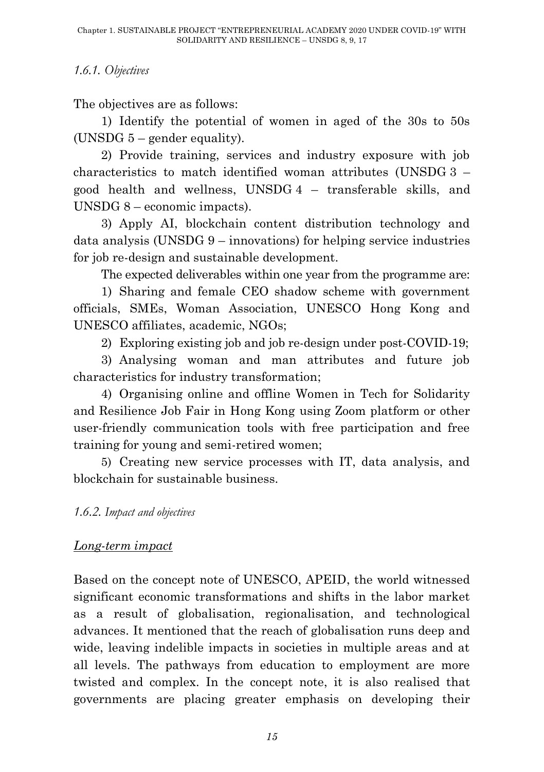#### *1.6.1. Objectives*

The objectives are as follows:

1) Identify the potential of women in aged of the 30s to 50s (UNSDG  $5$  – gender equality).

2) Provide training, services and industry exposure with job characteristics to match identified woman attributes (UNSDG 3 – good health and wellness, UNSDG 4 – transferable skills, and UNSDG 8 – economic impacts).

3) Apply AI, blockchain content distribution technology and data analysis (UNSDG 9 – innovations) for helping service industries for job re-design and sustainable development.

The expected deliverables within one year from the programme are:

1) Sharing and female CEO shadow scheme with government officials, SMEs, Woman Association, UNESCO Hong Kong and UNESCO affiliates, academic, NGOs;

2) Exploring existing job and job re-design under post-COVID-19;

3) Analysing woman and man attributes and future job characteristics for industry transformation;

4) Organising online and offline Women in Tech for Solidarity and Resilience Job Fair in Hong Kong using Zoom platform or other user-friendly communication tools with free participation and free training for young and semi-retired women;

5) Creating new service processes with IT, data analysis, and blockchain for sustainable business.

#### *1.6.2. Impact and objectives*

### *Long-term impact*

Based on the concept note of UNESCO, APEID, the world witnessed significant economic transformations and shifts in the labor market as a result of globalisation, regionalisation, and technological advances. It mentioned that the reach of globalisation runs deep and wide, leaving indelible impacts in societies in multiple areas and at all levels. The pathways from education to employment are more twisted and complex. In the concept note, it is also realised that governments are placing greater emphasis on developing their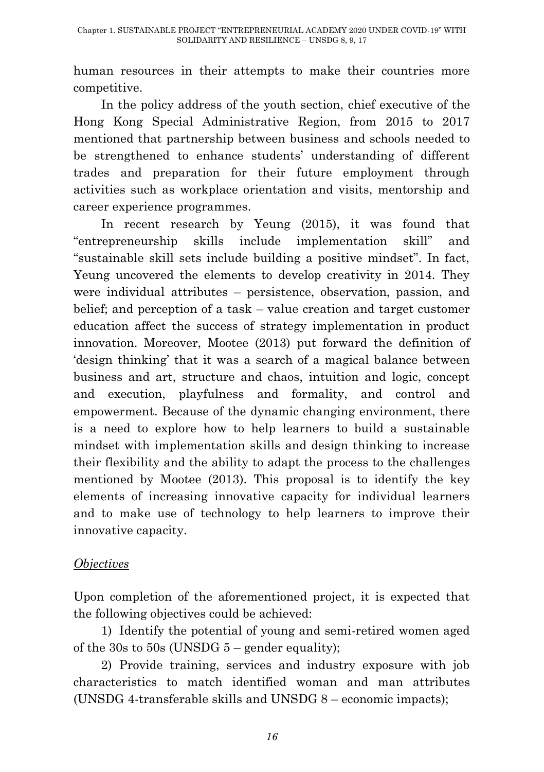human resources in their attempts to make their countries more competitive.

In the policy address of the youth section, chief executive of the Hong Kong Special Administrative Region, from 2015 to 2017 mentioned that partnership between business and schools needed to be strengthened to enhance students' understanding of different trades and preparation for their future employment through activities such as workplace orientation and visits, mentorship and career experience programmes.

In recent research by Yeung (2015), it was found that "entrepreneurship skills include implementation skill" and "sustainable skill sets include building a positive mindset". In fact, Yeung uncovered the elements to develop creativity in 2014. They were individual attributes – persistence, observation, passion, and belief; and perception of a task – value creation and target customer education affect the success of strategy implementation in product innovation. Moreover, Mootee (2013) put forward the definition of "design thinking" that it was a search of a magical balance between business and art, structure and chaos, intuition and logic, concept and execution, playfulness and formality, and control and empowerment. Because of the dynamic changing environment, there is a need to explore how to help learners to build a sustainable mindset with implementation skills and design thinking to increase their flexibility and the ability to adapt the process to the challenges mentioned by Mootee (2013). This proposal is to identify the key elements of increasing innovative capacity for individual learners and to make use of technology to help learners to improve their innovative capacity.

### *Objectives*

Upon completion of the aforementioned project, it is expected that the following objectives could be achieved:

1) Identify the potential of young and semi-retired women aged of the 30s to 50s (UNSDG  $5$  – gender equality);

2) Provide training, services and industry exposure with job characteristics to match identified woman and man attributes (UNSDG 4-transferable skills and UNSDG 8 – economic impacts);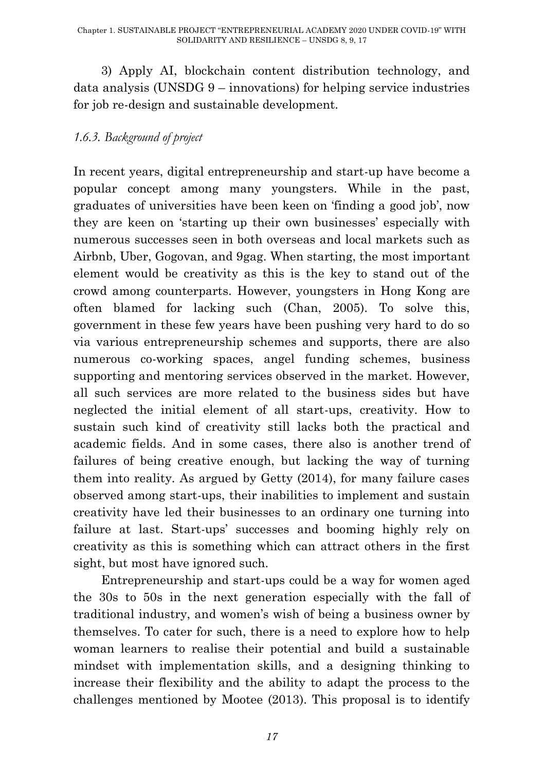3) Apply AI, blockchain content distribution technology, and data analysis (UNSDG 9 – innovations) for helping service industries for job re-design and sustainable development.

## *1.6.3. Background of project*

In recent years, digital entrepreneurship and start-up have become a popular concept among many youngsters. While in the past, graduates of universities have been keen on "finding a good job", now they are keen on 'starting up their own businesses' especially with numerous successes seen in both overseas and local markets such as Airbnb, Uber, Gogovan, and 9gag. When starting, the most important element would be creativity as this is the key to stand out of the crowd among counterparts. However, youngsters in Hong Kong are often blamed for lacking such (Chan, 2005). To solve this, government in these few years have been pushing very hard to do so via various entrepreneurship schemes and supports, there are also numerous co-working spaces, angel funding schemes, business supporting and mentoring services observed in the market. However, all such services are more related to the business sides but have neglected the initial element of all start-ups, creativity. How to sustain such kind of creativity still lacks both the practical and academic fields. And in some cases, there also is another trend of failures of being creative enough, but lacking the way of turning them into reality. As argued by Getty (2014), for many failure cases observed among start-ups, their inabilities to implement and sustain creativity have led their businesses to an ordinary one turning into failure at last. Start-ups' successes and booming highly rely on creativity as this is something which can attract others in the first sight, but most have ignored such.

Entrepreneurship and start-ups could be a way for women aged the 30s to 50s in the next generation especially with the fall of traditional industry, and women"s wish of being a business owner by themselves. To cater for such, there is a need to explore how to help woman learners to realise their potential and build a sustainable mindset with implementation skills, and a designing thinking to increase their flexibility and the ability to adapt the process to the challenges mentioned by Mootee (2013). This proposal is to identify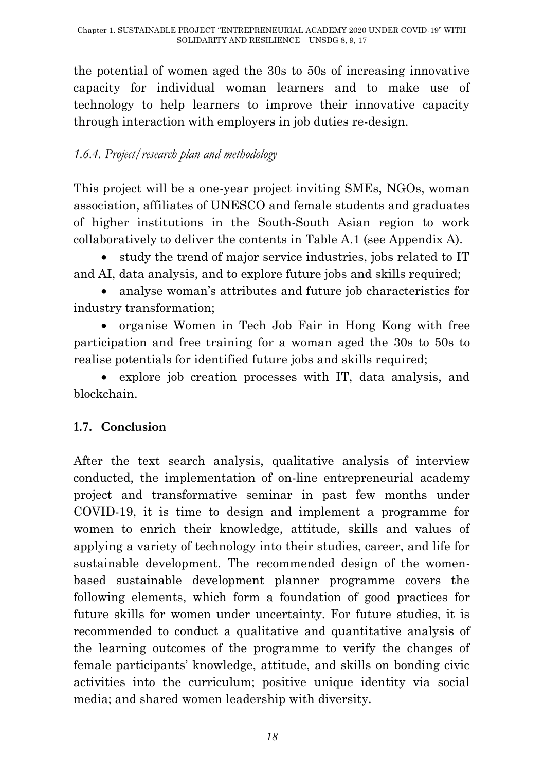the potential of women aged the 30s to 50s of increasing innovative capacity for individual woman learners and to make use of technology to help learners to improve their innovative capacity through interaction with employers in job duties re-design.

### *1.6.4. Project/research plan and methodology*

This project will be a one-year project inviting SMEs, NGOs, woman association, affiliates of UNESCO and female students and graduates of higher institutions in the South-South Asian region to work collaboratively to deliver the contents in Table A.1 (see Appendix A).

 study the trend of major service industries, jobs related to IT and AI, data analysis, and to explore future jobs and skills required;

 analyse woman"s attributes and future job characteristics for industry transformation;

 organise Women in Tech Job Fair in Hong Kong with free participation and free training for a woman aged the 30s to 50s to realise potentials for identified future jobs and skills required;

 explore job creation processes with IT, data analysis, and blockchain.

## **1.7. Conclusion**

After the text search analysis, qualitative analysis of interview conducted, the implementation of on-line entrepreneurial academy project and transformative seminar in past few months under COVID-19, it is time to design and implement a programme for women to enrich their knowledge, attitude, skills and values of applying a variety of technology into their studies, career, and life for sustainable development. The recommended design of the womenbased sustainable development planner programme covers the following elements, which form a foundation of good practices for future skills for women under uncertainty. For future studies, it is recommended to conduct a qualitative and quantitative analysis of the learning outcomes of the programme to verify the changes of female participants" knowledge, attitude, and skills on bonding civic activities into the curriculum; positive unique identity via social media; and shared women leadership with diversity.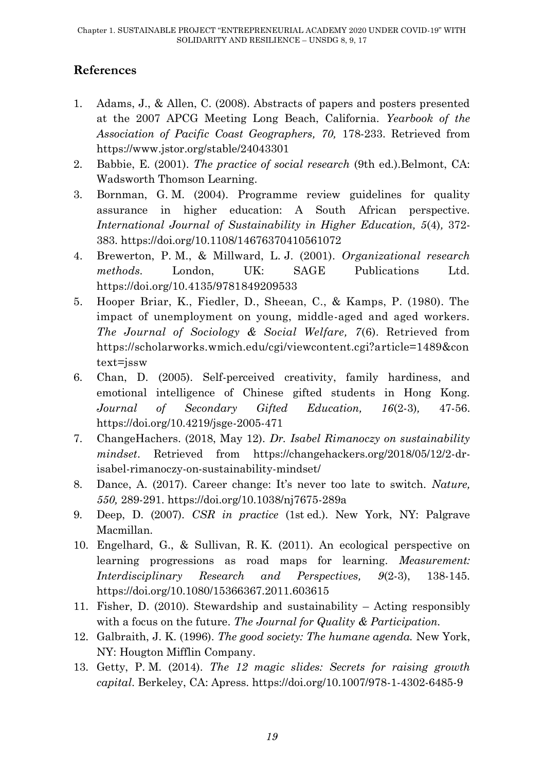## **References**

- 1. Adams, J., & Allen, C. (2008). Abstracts of papers and posters presented at the 2007 APCG Meeting Long Beach, California. *Yearbook of the Association of Pacific Coast Geographers, 70,* 178-233. Retrieved from https://www.jstor.org/stable/24043301
- 2. Babbie, E. (2001). *The practice of social research* (9th ed.).Belmont, CA: Wadsworth Thomson Learning.
- 3. Bornman, G. M. (2004). Programme review guidelines for quality assurance in higher education: A South African perspective. *International Journal of Sustainability in Higher Education, 5*(4)*,* 372- 383. https://doi.org/10.1108/14676370410561072
- 4. Brewerton, P. M., & Millward, L. J. (2001). *Organizational research methods.* London, UK: SAGE Publications Ltd. https://doi.org/10.4135/9781849209533
- 5. Hooper Briar, K., Fiedler, D., Sheean, C., & Kamps, P. (1980). The impact of unemployment on young, middle-aged and aged workers. *The Journal of Sociology & Social Welfare, 7*(6). Retrieved from https://scholarworks.wmich.edu/cgi/viewcontent.cgi?article=1489&con text=jssw
- 6. Chan, D. (2005). Self-perceived creativity, family hardiness, and emotional intelligence of Chinese gifted students in Hong Kong. *Journal of Secondary Gifted Education, 16*(2-3)*,* 47-56. https://doi.org/10.4219/jsge-2005-471
- 7. ChangeHachers. (2018, May 12). *Dr. Isabel Rimanoczy on sustainability mindset*. Retrieved from [https://changehackers.org/2018/05/12/2-dr](https://changehackers.org/2018/05/12/2-dr-isabel-rimanoczy-on-sustainability-mindset/)[isabel-rimanoczy-on-sustainability-mindset/](https://changehackers.org/2018/05/12/2-dr-isabel-rimanoczy-on-sustainability-mindset/)
- 8. Dance, A. (2017). Career change: It's never too late to switch. *Nature*, *550,* 289-291. https://doi.org/10.1038/nj7675-289a
- 9. Deep, D. (2007). *CSR in practice* (1st ed.). New York, NY: Palgrave Macmillan.
- 10. Engelhard, G., & Sullivan, R. K. (2011). An ecological perspective on learning progressions as road maps for learning. *Measurement: Interdisciplinary Research and Perspectives, 9*(2-3), 138-145. https://doi.org/10.1080/15366367.2011.603615
- 11. Fisher, D. (2010). Stewardship and sustainability Acting responsibly with a focus on the future. *The Journal for Quality & Participation.*
- 12. Galbraith, J. K. (1996). *The good society: The humane agenda.* New York, NY: Hougton Mifflin Company.
- 13. Getty, P. M. (2014). *The 12 magic slides: Secrets for raising growth capital*. Berkeley, CA: Apress. https://doi.org/10.1007/978-1-4302-6485-9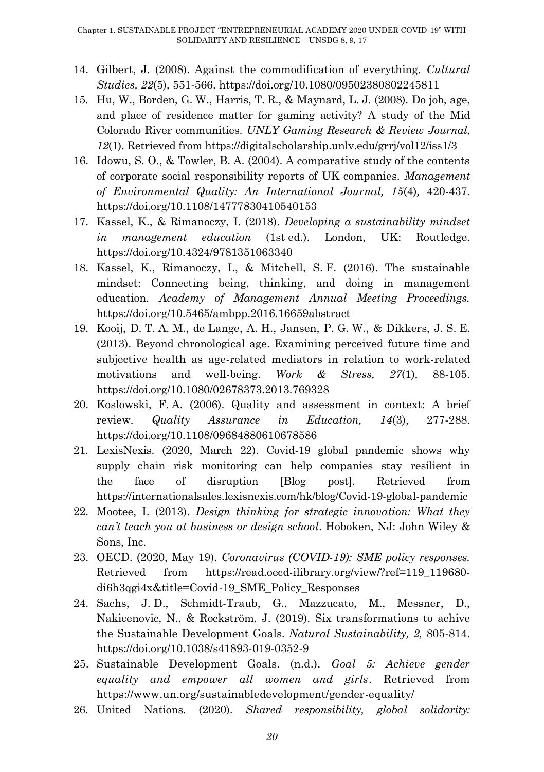- 14. Gilbert, J. (2008). Against the commodification of everything. *Cultural Studies, 22*(5)*,* 551-566. https://doi.org/10.1080/09502380802245811
- 15. Hu, W., Borden, G. W., Harris, T. R., & Maynard, L. J. (2008). Do job, age, and place of residence matter for gaming activity? A study of the Mid Colorado River communities. *UNLY Gaming Research & Review Journal, 12*(1). Retrieved from https://digitalscholarship.unlv.edu/grrj/vol12/iss1/3
- 16. Idowu, S. O., & Towler, B. A. (2004). A comparative study of the contents of corporate social responsibility reports of UK companies. *Management of Environmental Quality: An International Journal, 15*(4)*,* 420-437. https://doi.org/10.1108/14777830410540153
- 17. Kassel, K., & Rimanoczy, I. (2018). *Developing a sustainability mindset in management education* (1st ed.). London, UK: Routledge. https://doi.org/10.4324/9781351063340
- 18. Kassel, K., Rimanoczy, I., & Mitchell, S. F. (2016). The sustainable mindset: Connecting being, thinking, and doing in management education. *Academy of Management Annual Meeting Proceedings.* https://doi.org/10.5465/ambpp.2016.16659abstract
- 19. Kooij, D. T. A. M., de Lange, A. H., Jansen, P. G. W., & Dikkers, J. S. E. (2013). Beyond chronological age. Examining perceived future time and subjective health as age-related mediators in relation to work-related motivations and well-being. *Work & Stress, 27*(1)*,* 88-105. https://doi.org/10.1080/02678373.2013.769328
- 20. Koslowski, F. A. (2006). Quality and assessment in context: A brief review. *Quality Assurance in Education, 14*(3), 277-288. https://doi.org/10.1108/09684880610678586
- 21. LexisNexis. (2020, March 22). Covid-19 global pandemic shows why supply chain risk monitoring can help companies stay resilient in the face of disruption [Blog post]. Retrieved from https://internationalsales.lexisnexis.com/hk/blog/Covid-19-global-pandemic
- 22. Mootee, I. (2013). *Design thinking for strategic innovation: What they can't teach you at business or design school*. Hoboken, NJ: John Wiley & Sons, Inc.
- 23. OECD. (2020, May 19). *Coronavirus (COVID-19): SME policy responses.* Retrieved from [https://read.oecd-ilibrary.org/view/?ref=119\\_119680](https://read.oecd-ilibrary.org/view/?ref=119_119680-di6h3qgi4x&title=Covid-19_SME_Policy_Responses) [di6h3qgi4x&title=Covid-19\\_SME\\_Policy\\_Responses](https://read.oecd-ilibrary.org/view/?ref=119_119680-di6h3qgi4x&title=Covid-19_SME_Policy_Responses)
- 24. Sachs, J. D., Schmidt-Traub, G., Mazzucato, M., Messner, D., Nakicenovic, N., & Rockström, J. (2019). Six transformations to achive the Sustainable Development Goals. *Natural Sustainability, 2,* 805-814. https://doi.org/10.1038/s41893-019-0352-9
- 25. Sustainable Development Goals. (n.d.). *Goal 5: Achieve gender equality and empower all women and girls*. Retrieved from <https://www.un.org/sustainabledevelopment/gender-equality/>
- 26. United Nations. (2020). *Shared responsibility, global solidarity:*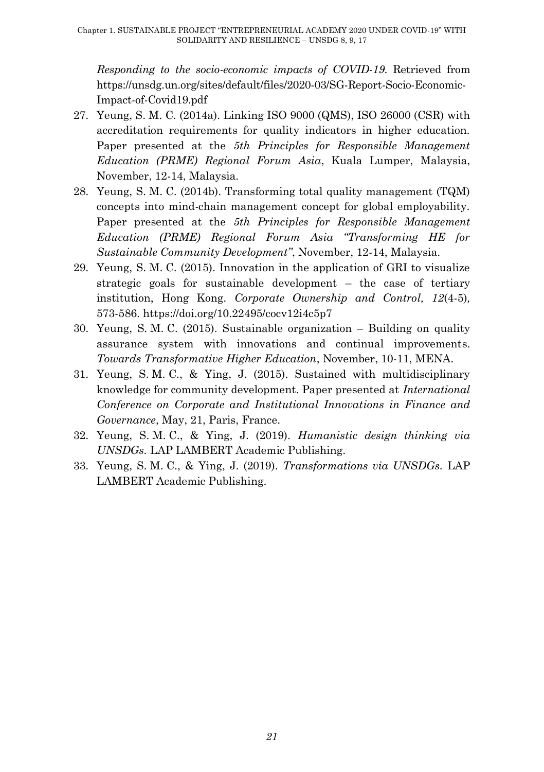*Responding to the socio-economic impacts of COVID-19*. Retrieved from https://unsdg.un.org/sites/default/files/2020-03/SG-Report-Socio-Economic-Impact-of-Covid19.pdf

- 27. Yeung, S. M. C. (2014a). Linking ISO 9000 (QMS), ISO 26000 (CSR) with accreditation requirements for quality indicators in higher education. Paper presented at the *5th Principles for Responsible Management Education (PRME) Regional Forum Asia*, Kuala Lumper, Malaysia, November, 12-14, Malaysia.
- 28. Yeung, S. M. C. (2014b). Transforming total quality management (TQM) concepts into mind-chain management concept for global employability. Paper presented at the *5th Principles for Responsible Management Education (PRME) Regional Forum Asia "Transforming HE for Sustainable Community Development"*, November, 12-14, Malaysia.
- 29. Yeung, S. M. C. (2015). Innovation in the application of GRI to visualize strategic goals for sustainable development – the case of tertiary institution, Hong Kong. *Corporate Ownership and Control, 12*(4-5)*,* 573-586. https://doi.org/10.22495/cocv12i4c5p7
- 30. Yeung, S. M. C. (2015). Sustainable organization Building on quality assurance system with innovations and continual improvements. *Towards Transformative Higher Education*, November, 10-11, MENA.
- 31. Yeung, S. M. C., & Ying, J. (2015). Sustained with multidisciplinary knowledge for community development. Paper presented at *International Conference on Corporate and Institutional Innovations in Finance and Governance*, May, 21, Paris, France.
- 32. Yeung, S. M. C., & Ying, J. (2019). *Humanistic design thinking via UNSDGs.* LAP LAMBERT Academic Publishing.
- 33. Yeung, S. M. C., & Ying, J. (2019). *Transformations via UNSDGs.* LAP LAMBERT Academic Publishing.